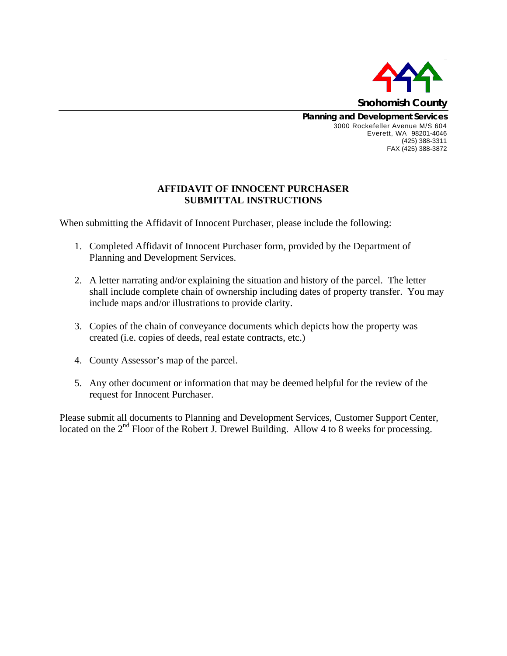

**Planning and Development Services**  3000 Rockefeller Avenue M/S 604 Everett, WA 98201-4046 (425) 388-3311 FAX (425) 388-3872

## **AFFIDAVIT OF INNOCENT PURCHASER SUBMITTAL INSTRUCTIONS**

When submitting the Affidavit of Innocent Purchaser, please include the following:

- 1. Completed Affidavit of Innocent Purchaser form, provided by the Department of Planning and Development Services.
- 2. A letter narrating and/or explaining the situation and history of the parcel. The letter shall include complete chain of ownership including dates of property transfer. You may include maps and/or illustrations to provide clarity.
- 3. Copies of the chain of conveyance documents which depicts how the property was created (i.e. copies of deeds, real estate contracts, etc.)
- 4. County Assessor's map of the parcel.
- 5. Any other document or information that may be deemed helpful for the review of the request for Innocent Purchaser.

Please submit all documents to Planning and Development Services, Customer Support Center, located on the 2<sup>nd</sup> Floor of the Robert J. Drewel Building. Allow 4 to 8 weeks for processing.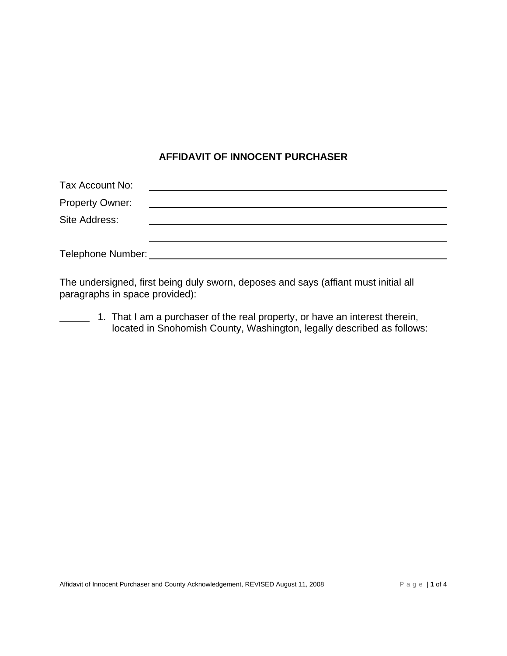## **AFFIDAVIT OF INNOCENT PURCHASER**

| Tax Account No:        |                                                         |
|------------------------|---------------------------------------------------------|
| <b>Property Owner:</b> | <u> 1989 - Johann Stein, fransk politiker (d. 1989)</u> |
| Site Address:          |                                                         |
|                        |                                                         |
| Telephone Number:      |                                                         |

The undersigned, first being duly sworn, deposes and says (affiant must initial all paragraphs in space provided):

1. That I am a purchaser of the real property, or have an interest therein, located in Snohomish County, Washington, legally described as follows: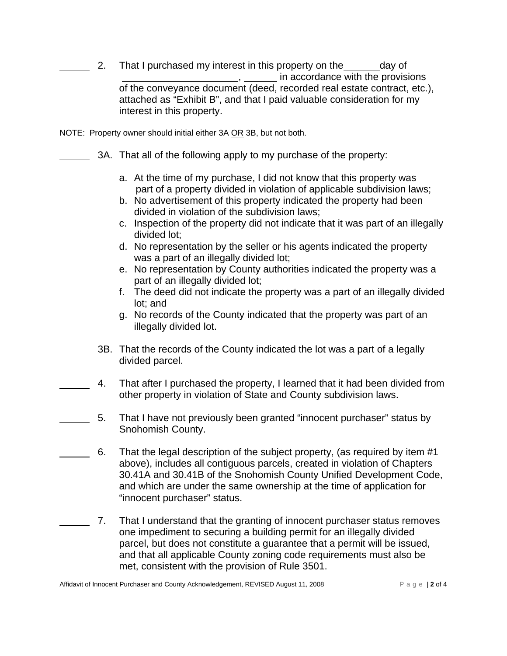2. That I purchased my interest in this property on the day of  $\mu$ , in accordance with the provisions of the conveyance document (deed, recorded real estate contract, etc.), attached as "Exhibit B", and that I paid valuable consideration for my interest in this property.

NOTE: Property owner should initial either 3A OR 3B, but not both.

- 3A. That all of the following apply to my purchase of the property:
	- a. At the time of my purchase, I did not know that this property was part of a property divided in violation of applicable subdivision laws;
	- b. No advertisement of this property indicated the property had been divided in violation of the subdivision laws;
	- c. Inspection of the property did not indicate that it was part of an illegally divided lot;
	- d. No representation by the seller or his agents indicated the property was a part of an illegally divided lot;
	- e. No representation by County authorities indicated the property was a part of an illegally divided lot;
	- f. The deed did not indicate the property was a part of an illegally divided lot; and
	- g. No records of the County indicated that the property was part of an illegally divided lot.
- 3B. That the records of the County indicated the lot was a part of a legally divided parcel.
- 4. That after I purchased the property, I learned that it had been divided from other property in violation of State and County subdivision laws.
- 5. That I have not previously been granted "innocent purchaser" status by Snohomish County.
	- 6. That the legal description of the subject property, (as required by item #1 above), includes all contiguous parcels, created in violation of Chapters 30.41A and 30.41B of the Snohomish County Unified Development Code, and which are under the same ownership at the time of application for "innocent purchaser" status.
- 7. That I understand that the granting of innocent purchaser status removes one impediment to securing a building permit for an illegally divided parcel, but does not constitute a guarantee that a permit will be issued, and that all applicable County zoning code requirements must also be met, consistent with the provision of Rule 3501.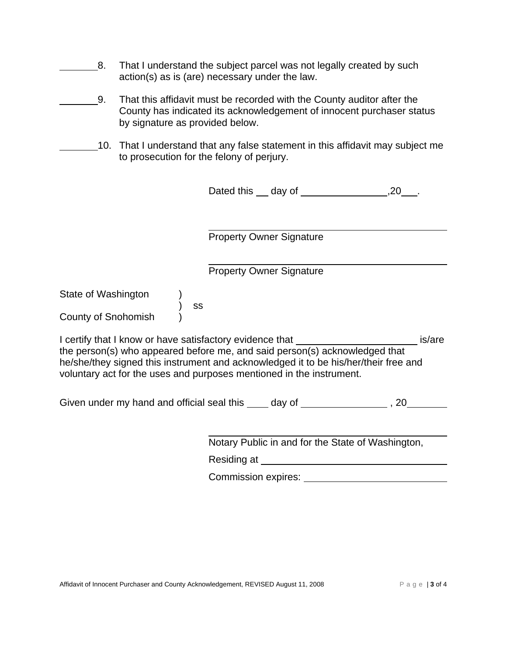- 8. That I understand the subject parcel was not legally created by such action(s) as is (are) necessary under the law.
- 9. That this affidavit must be recorded with the County auditor after the County has indicated its acknowledgement of innocent purchaser status by signature as provided below.
	- 10. That I understand that any false statement in this affidavit may subject me to prosecution for the felony of perjury.

| Dated this | day of |  |
|------------|--------|--|
|------------|--------|--|

 $\overline{a}$ Property Owner Signature

 $\overline{a}$ Property Owner Signature

State of Washington )

) ss

County of Snohomish )

I certify that I know or have satisfactory evidence that **incress and the same is state** is/are the person(s) who appeared before me, and said person(s) acknowledged that he/she/they signed this instrument and acknowledged it to be his/her/their free and voluntary act for the uses and purposes mentioned in the instrument.

Given under my hand and official seal this  $\_\_\_$  day of  $\_\_\_\_\_\_\_$ , 20

 $\overline{a}$ Notary Public in and for the State of Washington,

Residing at **contract and the example of the set of the set of the set of the set of the set of the set of the set of the set of the set of the set of the set of the set of the set of the set of the set of the set of the s** 

Commission expires: Universe of the Commission expires: